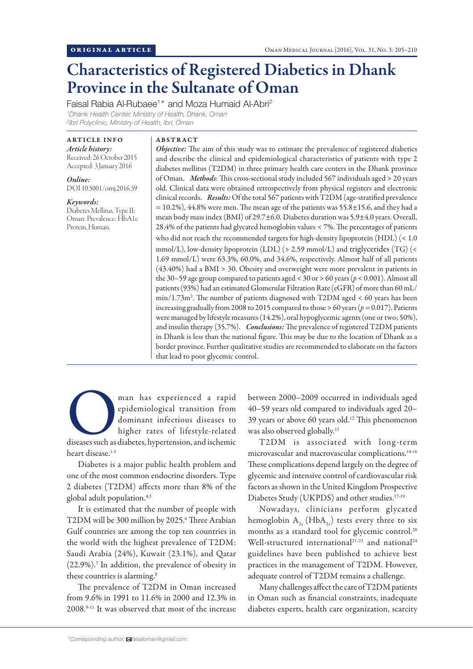# Characteristics of Registered Diabetics in Dhank Province in the Sultanate of Oman

Faisal Rabia Al-Rubaee<sup>1\*</sup> and Moza Humaid Al-Abri<sup>2</sup> *1 Dhank Health Center, Ministry of Health, Dhank, Oman 2 Ibri Polyclinic, Ministry of Health, Ibri, Oman*

ARTICLE INFO *Article history:* Received: 26 October 2015 Accepted: 3 January 2016

*Online:* DOI 10.5001/omj.2016.39

*Keywords:* Diabetes Mellitus, Type II; Oman; Prevalence; HbA1c Protein, Human.

## ABSTRACT

*Objective:* The aim of this study was to estimate the prevalence of registered diabetics and describe the clinical and epidemiological characteristics of patients with type 2 diabetes mellitus (T2DM) in three primary health care centers in the Dhank province of Oman. *Methods*: This cross-sectional study included 567 individuals aged > 20 years old. Clinical data were obtained retrospectively from physical registers and electronic clinical records. *Results:* Of the total 567 patients with T2DM (age-stratified prevalence  $= 10.2\%$ ), 44.8% were men. The mean age of the patients was 55.8 $\pm$ 15.6, and they had a mean body mass index (BMI) of 29.7±6.0. Diabetes duration was 5.9±4.0 years. Overall, 28.4% of the patients had glycated hemoglobin values < 7%. The percentages of patients who did not reach the recommended targets for high-density lipoprotein (HDL) (< 1.0 mmol/L), low-density lipoprotein (LDL) (> 2.59 mmol/L) and triglycerides (TG) (< 1.69 mmol/L) were 63.3%, 60.0%, and 34.6%, respectively. Almost half of all patients (43.40%) had a BMI > 30. Obesity and overweight were more prevalent in patients in the 30–59 age group compared to patients aged < 30 or > 60 years (*p* < 0.001). Almost all patients (93%) had an estimated Glomerular Filtration Rate (eGFR) of more than 60 mL/ min/1.73m2 . The number of patients diagnosed with T2DM aged < 60 years has been increasing gradually from 2008 to 2015 compared to those > 60 years (*p =* 0.017). Patients were managed by lifestyle measures (14.2%), oral hypoglycemic agents (one or two; 50%), and insulin therapy (35.7%). *Conclusions:* The prevalence of registered T2DM patients in Dhank is less than the national figure. This may be due to the location of Dhank as a border province. Further qualitative studies are recommended to elaborate on the factors that lead to poor glycemic control.

man has experienced a rapid<br>
epidemiological transition from<br>
dominant infectious diseases to<br>
higher rates of lifestyle-related<br>
diseases such as diabetes, hypertension, and ischemic epidemiological transition from dominant infectious diseases to higher rates of lifestyle-related heart disease.<sup>1-3</sup>

Diabetes is a major public health problem and one of the most common endocrine disorders. Type 2 diabetes (T2DM) affects more than 8% of the global adult population.4,5

It is estimated that the number of people with T2DM will be 300 million by 2025.<sup>6</sup> Three Arabian Gulf countries are among the top ten countries in the world with the highest prevalence of T2DM: Saudi Arabia (24%), Kuwait (23.1%), and Qatar (22.9%).<sup>7</sup> In addition, the prevalence of obesity in these countries is alarming.<sup>8</sup>

The prevalence of T2DM in Oman increased from 9.6% in 1991 to 11.6% in 2000 and 12.3% in 2008.9-11 It was observed that most of the increase between 2000–2009 occurred in individuals aged 40–59 years old compared to individuals aged 20– 39 years or above 60 years old.<sup>12</sup> This phenomenon was also observed globally.<sup>13</sup>

T2DM is associated with long-term microvascular and macrovascular complications.14-16 These complications depend largely on the degree of glycemic and intensive control of cardiovascular risk factors as shown in the United Kingdom Prospective Diabetes Study (UKPDS) and other studies.<sup>17-19</sup>

Nowadays, clinicians perform glycated hemoglobin  $A_{1c}$  (HbA<sub>1c</sub>) tests every three to six months as a standard tool for glycemic control.<sup>20</sup> Well-structured international<sup>21-23</sup> and national<sup>24</sup> guidelines have been published to achieve best practices in the management of T2DM. However, adequate control of T2DM remains a challenge.

Many challenges affect the care of T2DM patients in Oman such as financial constraints, inadequate diabetes experts, health care organization, scarcity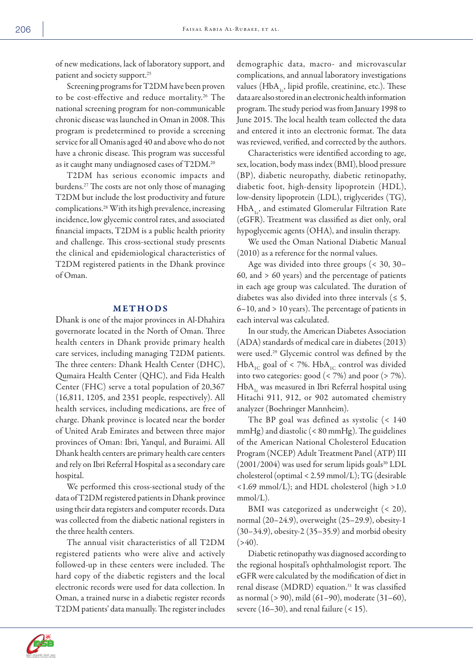of new medications, lack of laboratory support, and patient and society support.<sup>25</sup>

Screening programs for T2DM have been proven to be cost-effective and reduce mortality.26 The national screening program for non-communicable chronic disease was launched in Oman in 2008. This program is predetermined to provide a screening service for all Omanis aged 40 and above who do not have a chronic disease. This program was successful as it caught many undiagnosed cases of T2DM.<sup>20</sup>

T2DM has serious economic impacts and burdens.27 The costs are not only those of managing T2DM but include the lost productivity and future complications.28 With its high prevalence, increasing incidence, low glycemic control rates, and associated financial impacts, T2DM is a public health priority and challenge. This cross-sectional study presents the clinical and epidemiological characteristics of T2DM registered patients in the Dhank province of Oman.

# METHODS

Dhank is one of the major provinces in Al-Dhahira governorate located in the North of Oman. Three health centers in Dhank provide primary health care services, including managing T2DM patients. The three centers: Dhank Health Center (DHC), Qumaira Health Center (QHC), and Fida Health Center (FHC) serve a total population of 20,367 (16,811, 1205, and 2351 people, respectively). All health services, including medications, are free of charge. Dhank province is located near the border of United Arab Emirates and between three major provinces of Oman: Ibri, Yanqul, and Buraimi. All Dhank health centers are primary health care centers and rely on Ibri Referral Hospital as a secondary care hospital.

We performed this cross-sectional study of the data of T2DM registered patients in Dhank province using their data registers and computer records. Data was collected from the diabetic national registers in the three health centers.

The annual visit characteristics of all T2DM registered patients who were alive and actively followed-up in these centers were included. The hard copy of the diabetic registers and the local electronic records were used for data collection. In Oman, a trained nurse in a diabetic register records T2DM patients' data manually. The register includes

demographic data, macro- and microvascular complications, and annual laboratory investigations values ( $HbA_{1c}$ , lipid profile, creatinine, etc.). These data are also stored in an electronic health information program. The study period was from January 1998 to June 2015. The local health team collected the data and entered it into an electronic format. The data was reviewed, verified, and corrected by the authors.

Characteristics were identified according to age, sex, location, body mass index (BMI), blood pressure (BP), diabetic neuropathy, diabetic retinopathy, diabetic foot, high-density lipoprotein (HDL), low-density lipoprotein (LDL), triglycerides (TG),  $HbA_{1c}$ , and estimated Glomerular Filtration Rate (eGFR). Treatment was classified as diet only, oral hypoglycemic agents (OHA), and insulin therapy.

We used the Oman National Diabetic Manual (2010) as a reference for the normal values.

Age was divided into three groups (< 30, 30– 60, and > 60 years) and the percentage of patients in each age group was calculated. The duration of diabetes was also divided into three intervals ( $\leq$  5, 6–10, and > 10 years). The percentage of patients in each interval was calculated.

In our study, the American Diabetes Association (ADA) standards of medical care in diabetes (2013) were used.29 Glycemic control was defined by the  $HbA_{1C}$  goal of < 7%.  $HbA_{1C}$  control was divided into two categories: good  $(< 7\%)$  and poor  $(> 7\%)$ . HbA<sub>1</sub> was measured in Ibri Referral hospital using Hitachi 911, 912, or 902 automated chemistry analyzer (Boehringer Mannheim).

The BP goal was defined as systolic (< 140 mmHg) and diastolic (< 80 mmHg). The guidelines of the American National Cholesterol Education Program (NCEP) Adult Treatment Panel (ATP) III  $(2001/2004)$  was used for serum lipids goals<sup>30</sup> LDL cholesterol (optimal < 2.59 mmol/L); TG (desirable <1.69 mmol/L); and HDL cholesterol (high >1.0 mmol/L).

BMI was categorized as underweight (< 20), normal (20–24.9), overweight (25–29.9), obesity-1 (30–34.9), obesity-2 (35–35.9) and morbid obesity  $( > 40).$ 

Diabetic retinopathy was diagnosed according to the regional hospital's ophthalmologist report. The eGFR were calculated by the modification of diet in renal disease (MDRD) equation.31 It was classified as normal (> 90), mild (61–90), moderate (31–60), severe (16–30), and renal failure  $($  < 15).

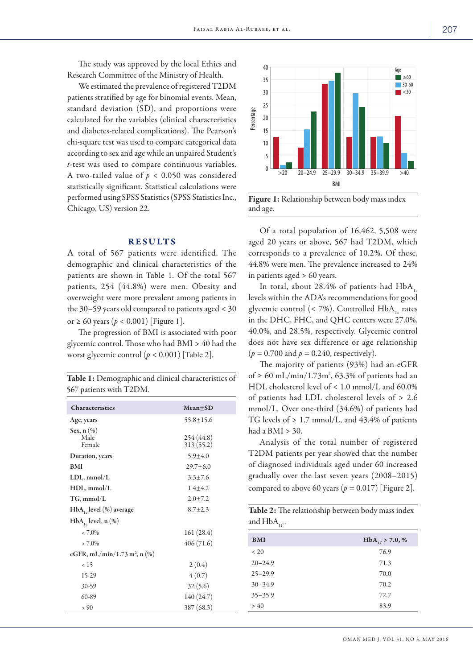Research Committee of the Ministry of Health. We estimated the prevalence of registered T2DM patients stratified by age for binomial events. Mean, standard deviation (SD), and proportions were calculated for the variables (clinical characteristics and diabetes-related complications). The Pearson's chi-square test was used to compare categorical data according to sex and age while an unpaired Student's *t*-test was used to compare continuous variables. A two-tailed value of *p* < 0.050 was considered statistically significant. Statistical calculations were performed using SPSS Statistics (SPSS Statistics Inc., Chicago, US) version 22.

## RESULTS

A total of 567 patients were identified. The demographic and clinical characteristics of the patients are shown in Table 1. Of the total 567 patients, 254 (44.8%) were men. Obesity and overweight were more prevalent among patients in the 30–59 years old compared to patients aged < 30 or  $\geq 60$  years ( $p < 0.001$ ) [Figure 1].

The progression of BMI is associated with poor glycemic control. Those who had BMI > 40 had the worst glycemic control (*p* < 0.001) [Table 2].

Table 1: Demographic and clinical characteristics of 567 patients with T2DM.

| <b>Characteristics</b>                       | Mean+SD                 |
|----------------------------------------------|-------------------------|
| Age, years                                   | $55.8 \pm 15.6$         |
| Sex, $n$ $(\%)$<br>Male<br>Female            | 254 (44.8)<br>313(55.2) |
| Duration, years                              | $5.9 + 4.0$             |
| <b>BMI</b>                                   | $29.7 + 6.0$            |
| LDL, mmol/L                                  | $3.3 \pm 7.6$           |
| $HDL$ , mmol/L                               | $1.4 + 4.2$             |
| $TG, \text{mmol/L}$                          | $2.0 + 7.2$             |
| $HbA_{1c}$ level $(\%)$ average              | $8.7 + 2.3$             |
| $HbA_{1c}$ level, n $(\%)$                   |                         |
| $< 7.0\%$                                    | 161(28.4)               |
| $> 7.0\%$                                    | 406(71.6)               |
| eGFR, mL/min/1.73 m <sup>2</sup> , n $(\% )$ |                         |
| < 15                                         | 2(0.4)                  |
| 15-29                                        | 4(0.7)                  |
| $30-59$                                      | 32(5.6)                 |
| 60-89                                        | 140 (24.7)              |
| > 90                                         | 387 (68.3)              |



Figure 1: Relationship between body mass index and age.

Of a total population of 16,462, 5,508 were aged 20 years or above, 567 had T2DM, which corresponds to a prevalence of 10.2%. Of these, 44.8% were men. The prevalence increased to 24% in patients aged > 60 years.

In total, about 28.4% of patients had  $HbA<sub>1c</sub>$ levels within the ADA's recommendations for good glycemic control  $\left($  < 7%). Controlled HbA, rates in the DHC, FHC, and QHC centers were 27.0%, 40.0%, and 28.5%, respectively. Glycemic control does not have sex difference or age relationship  $(p = 0.700$  and  $p = 0.240$ , respectively).

The majority of patients (93%) had an eGFR of ≥ 60 mL/min/1.73m<sup>2</sup>, 63.3% of patients had an HDL cholesterol level of < 1.0 mmol/L and 60.0% of patients had LDL cholesterol levels of > 2.6 mmol/L. Over one-third (34.6%) of patients had TG levels of > 1.7 mmol/L, and 43.4% of patients had a  $BMI > 30$ .

Analysis of the total number of registered T2DM patients per year showed that the number of diagnosed individuals aged under 60 increased gradually over the last seven years (2008–2015) compared to above 60 years ( $p = 0.017$ ) [Figure 2].

Table 2: The relationship between body mass index and  $HbA_{1C}$ .

| <b>BMI</b>  | $HbA_{1C}$ > 7.0, % |
|-------------|---------------------|
| < 20        | 76.9                |
| $20 - 24.9$ | 71.3                |
| $25 - 29.9$ | 70.0                |
| $30 - 34.9$ | 70.2                |
| $35 - 35.9$ | 72.7                |
| > 40        | 83.9                |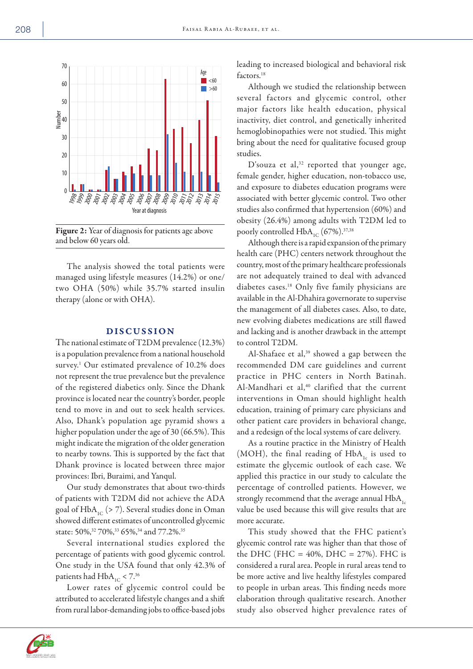

Figure 2: Year of diagnosis for patients age above and below 60 years old.

The analysis showed the total patients were managed using lifestyle measures (14.2%) or one/ two OHA (50%) while 35.7% started insulin therapy (alone or with OHA).

# DISCUSSION

The national estimate of T2DM prevalence (12.3%) is a population prevalence from a national household survey.<sup>1</sup> Our estimated prevalence of 10.2% does not represent the true prevalence but the prevalence of the registered diabetics only. Since the Dhank province is located near the country's border, people tend to move in and out to seek health services. Also, Dhank's population age pyramid shows a higher population under the age of 30 (66.5%). This might indicate the migration of the older generation to nearby towns. This is supported by the fact that Dhank province is located between three major provinces: Ibri, Buraimi, and Yanqul.

Our study demonstrates that about two-thirds of patients with T2DM did not achieve the ADA goal of  $HbA_{1C}$  (> 7). Several studies done in Oman showed different estimates of uncontrolled glycemic state: 50%,<sup>32</sup> 70%,<sup>33</sup> 65%,<sup>34</sup> and 77.2%.<sup>35</sup>

Several international studies explored the percentage of patients with good glycemic control. One study in the USA found that only 42.3% of patients had  $HbA_{1C} < 7.^{36}$ 

Lower rates of glycemic control could be attributed to accelerated lifestyle changes and a shift from rural labor-demanding jobs to office-based jobs leading to increased biological and behavioral risk factors.<sup>18</sup>

Although we studied the relationship between several factors and glycemic control, other major factors like health education, physical inactivity, diet control, and genetically inherited hemoglobinopathies were not studied. This might bring about the need for qualitative focused group studies.

D'souza et al,<sup>32</sup> reported that younger age, female gender, higher education, non-tobacco use, and exposure to diabetes education programs were associated with better glycemic control. Two other studies also confirmed that hypertension (60%) and obesity (26.4%) among adults with T2DM led to poorly controlled  $HbA_{1C}$  (67%).<sup>37,38</sup>

Although there is a rapid expansion of the primary health care (PHC) centers network throughout the country, most of the primary healthcare professionals are not adequately trained to deal with advanced diabetes cases.18 Only five family physicians are available in the Al-Dhahira governorate to supervise the management of all diabetes cases. Also, to date, new evolving diabetes medications are still flawed and lacking and is another drawback in the attempt to control T2DM.

Al-Shafaee et al,<sup>39</sup> showed a gap between the recommended DM care guidelines and current practice in PHC centers in North Batinah. Al-Mandhari et al,<sup>40</sup> clarified that the current interventions in Oman should highlight health education, training of primary care physicians and other patient care providers in behavioral change, and a redesign of the local systems of care delivery.

As a routine practice in the Ministry of Health (MOH), the final reading of  $HbA_{1c}$  is used to estimate the glycemic outlook of each case. We applied this practice in our study to calculate the percentage of controlled patients. However, we strongly recommend that the average annual  $HbA<sub>1c</sub>$ value be used because this will give results that are more accurate.

This study showed that the FHC patient's glycemic control rate was higher than that those of the DHC (FHC =  $40\%$ , DHC =  $27\%$ ). FHC is considered a rural area. People in rural areas tend to be more active and live healthy lifestyles compared to people in urban areas. This finding needs more elaboration through qualitative research. Another study also observed higher prevalence rates of

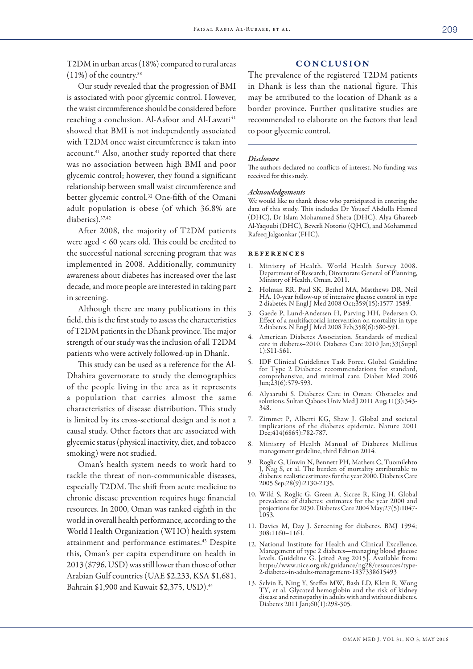T2DM in urban areas (18%) compared to rural areas  $(11\%)$  of the country.<sup>38</sup>

Our study revealed that the progression of BMI is associated with poor glycemic control. However, the waist circumference should be considered before reaching a conclusion. Al-Asfoor and Al-Lawati<sup>41</sup> showed that BMI is not independently associated with T2DM once waist circumference is taken into account.41 Also, another study reported that there was no association between high BMI and poor glycemic control; however, they found a significant relationship between small waist circumference and better glycemic control.32 One-fifth of the Omani adult population is obese (of which 36.8% are diabetics).<sup>37,42</sup>

After 2008, the majority of T2DM patients were aged < 60 years old. This could be credited to the successful national screening program that was implemented in 2008. Additionally, community awareness about diabetes has increased over the last decade, and more people are interested in taking part in screening.

Although there are many publications in this field, this is the first study to assess the characteristics of T2DM patients in the Dhank province. The major strength of our study was the inclusion of all T2DM patients who were actively followed-up in Dhank.

This study can be used as a reference for the Al-Dhahira governorate to study the demographics of the people living in the area as it represents a population that carries almost the same characteristics of disease distribution. This study is limited by its cross-sectional design and is not a causal study. Other factors that are associated with glycemic status (physical inactivity, diet, and tobacco smoking) were not studied.

Oman's health system needs to work hard to tackle the threat of non-communicable diseases, especially T2DM. The shift from acute medicine to chronic disease prevention requires huge financial resources. In 2000, Oman was ranked eighth in the world in overall health performance, according to the World Health Organization (WHO) health system attainment and performance estimates.43 Despite this, Oman's per capita expenditure on health in 2013 (\$796, USD) was still lower than those of other Arabian Gulf countries (UAE \$2,233, KSA \$1,681, Bahrain \$1,900 and Kuwait \$2,375, USD).<sup>44</sup>

## **CONCLUSION**

The prevalence of the registered T2DM patients in Dhank is less than the national figure. This may be attributed to the location of Dhank as a border province. Further qualitative studies are recommended to elaborate on the factors that lead to poor glycemic control.

### *Disclosure*

The authors declared no conflicts of interest. No funding was received for this study.

### *Acknowledgements*

We would like to thank those who participated in entering the data of this study. This includes Dr Yousef Abdulla Hamed (DHC), Dr Islam Mohammed Sheta (DHC), Alya Ghareeb Al-Yaqoubi (DHC), Beverli Notorio (QHC), and Mohammed Rafeeq Jalgaonkar (FHC).

### references

- 1. Ministry of Health. World Health Survey 2008. Department of Research, Directorate General of Planning, Ministry of Health, Oman. 2011.
- 2. Holman RR, Paul SK, Bethel MA, Matthews DR, Neil HA. 10-year follow-up of intensive glucose control in type 2 diabetes. N Engl J Med 2008 Oct;359(15):1577-1589.
- 3. Gaede P, Lund-Andersen H, Parving HH, Pedersen O. Effect of a multifactorial intervention on mortality in type 2 diabetes. N Engl J Med 2008 Feb;358(6):580-591.
- 4. American Diabetes Association. Standards of medical care in diabetes–2010. Diabetes Care 2010 Jan;33(Suppl 1):S11-S61.
- 5. IDF Clinical Guidelines Task Force. Global Guideline for Type 2 Diabetes: recommendations for standard, comprehensive, and minimal care. Diabet Med 2006 Jun;23(6):579-593.
- 6. Alyaarubi S. Diabetes Care in Oman: Obstacles and solutions. Sultan Qaboos Univ Med J 2011 Aug;11(3):343- 348.
- 7. Zimmet P, Alberti KG, Shaw J. Global and societal implications of the diabetes epidemic. Nature 2001 Dec;414(6865):782-787.
- 8. Ministry of Health Manual of Diabetes Mellitus management guideline, third Edition 2014.
- 9. Roglic G, Unwin N, Bennett PH, Mathers C, Tuomilehto J, Nag S, et al. The burden of mortality attributable to diabetes: realistic estimates for the year 2000. Diabetes Care 2005 Sep;28(9):2130-2135.
- 10. Wild S, Roglic G, Green A, Sicree R, King H. Global prevalence of diabetes: estimates for the year 2000 and projections for 2030. Diabetes Care 2004 May;27(5):1047- 1053.
- 11. Davies M, Day J. Screening for diabetes. BMJ 1994; 308:1160–1161.
- 12. National Institute for Health and Clinical Excellence. Management of type 2 diabetes—managing blood glucose levels. Guideline G. [cited Aug 2015]. Available from: https://www.nice.org.uk/guidance/ng28/resources/type-2-diabetes-in-adults-management-1837338615493
- 13. Selvin E, Ning Y, Steffes MW, Bash LD, Klein R, Wong TY, et al. Glycated hemoglobin and the risk of kidney disease and retinopathy in adults with and without diabetes. Diabetes 2011 Jan;60(1):298-305.